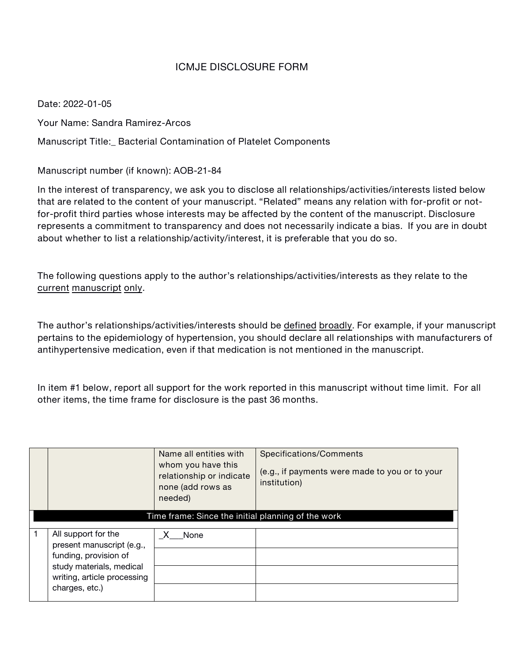## **ICMJE DISCLOSURE FORM**

**Date: 2022-01-05**

**Your Name: Sandra Ramirez-Arcos**

**Manuscript Title:\_ Bacterial Contamination of Platelet Components**

**Manuscript number (if known): AOB-21-84**

**In the interest of transparency, we ask you to disclose all relationships/activities/interests listed below that are related to the content of your manuscript. "Related" means any relation with for-profit or notfor-profit third parties whose interests may be affected by the content of the manuscript. Disclosure represents a commitment to transparency and does not necessarily indicate a bias. Ifyou are in doubt about whether to list a relationship/activity/interest, it is preferable that you do so.**

**The following questions apply to the author's relationships/activities/interests as they relate to the current manuscript only.**

**The author's relationships/activities/interests should be defined broadly. For example, if your manuscript pertains to the epidemiology of hypertension, you should declare all relationships with manufacturers of antihypertensive medication, even if that medication isnot mentioned in the manuscript.**

In item #1 below, report all support for the work reported in this manuscript without time limit. For all **other items, the time frame for disclosure is the past 36 months.**

|   |                                                                                                                                                        | Name all entities with<br>whom you have this<br>relationship or indicate<br>none (add rows as<br>needed) | Specifications/Comments<br>(e.g., if payments were made to you or to your<br>institution) |
|---|--------------------------------------------------------------------------------------------------------------------------------------------------------|----------------------------------------------------------------------------------------------------------|-------------------------------------------------------------------------------------------|
|   | Time frame: Since the initial planning of the work                                                                                                     |                                                                                                          |                                                                                           |
| 1 | All support for the<br>present manuscript (e.g.,<br>funding, provision of<br>study materials, medical<br>writing, article processing<br>charges, etc.) | None<br>X.                                                                                               |                                                                                           |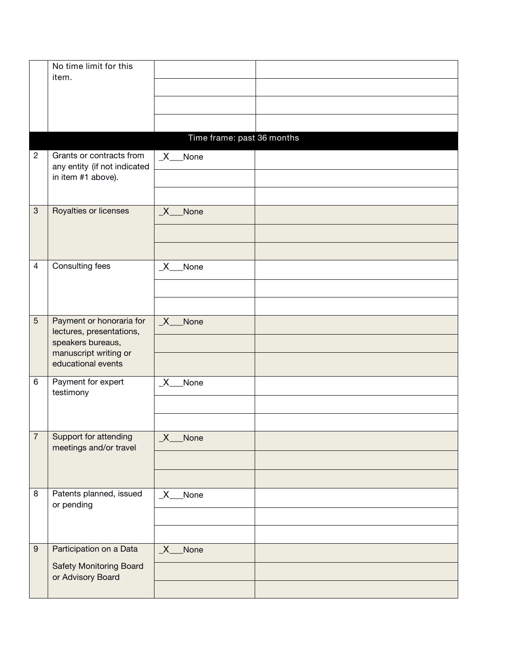|                  | No time limit for this                                                         |                            |  |
|------------------|--------------------------------------------------------------------------------|----------------------------|--|
|                  | item.                                                                          |                            |  |
|                  |                                                                                |                            |  |
|                  |                                                                                |                            |  |
|                  |                                                                                |                            |  |
|                  |                                                                                | Time frame: past 36 months |  |
| $\overline{c}$   | Grants or contracts from<br>any entity (if not indicated<br>in item #1 above). | $X$ None                   |  |
|                  |                                                                                |                            |  |
| $\mathbf{3}$     | Royalties or licenses                                                          | $X_{-}$<br>None            |  |
|                  |                                                                                |                            |  |
|                  |                                                                                |                            |  |
| 4                | Consulting fees                                                                | $X_{-}$<br>None            |  |
|                  |                                                                                |                            |  |
|                  |                                                                                |                            |  |
| $\sqrt{5}$       | Payment or honoraria for<br>lectures, presentations,<br>speakers bureaus,      | X None                     |  |
|                  |                                                                                |                            |  |
|                  | manuscript writing or<br>educational events                                    |                            |  |
| 6                | Payment for expert<br>testimony                                                | None<br>$\_X$              |  |
|                  |                                                                                |                            |  |
|                  |                                                                                |                            |  |
| 7                | Support for attending<br>meetings and/or travel                                | $\_X$<br>None              |  |
|                  |                                                                                |                            |  |
|                  |                                                                                |                            |  |
| 8                | Patents planned, issued<br>or pending                                          | $X_{-}$<br>None            |  |
|                  |                                                                                |                            |  |
|                  |                                                                                |                            |  |
| $\boldsymbol{9}$ | Participation on a Data                                                        | $X_{-}$<br>None            |  |
|                  | <b>Safety Monitoring Board</b><br>or Advisory Board                            |                            |  |
|                  |                                                                                |                            |  |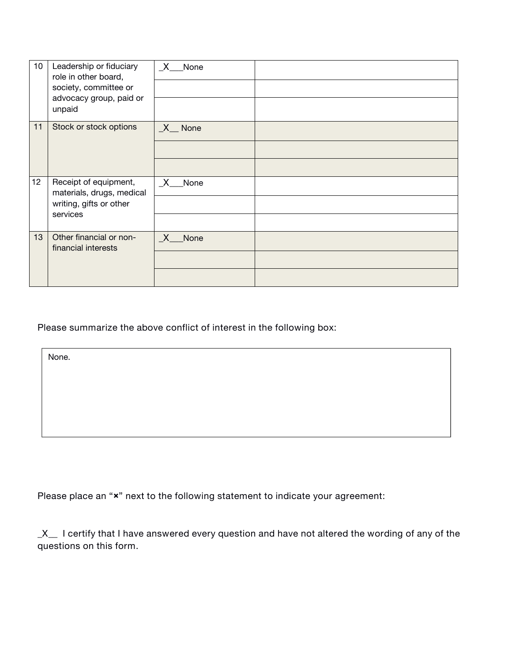| 10 | Leadership or fiduciary<br>role in other board,<br>society, committee or<br>advocacy group, paid or<br>unpaid | X —<br>None           |  |
|----|---------------------------------------------------------------------------------------------------------------|-----------------------|--|
| 11 | Stock or stock options                                                                                        | $X$ <sub>_</sub> None |  |
|    |                                                                                                               |                       |  |
| 12 | Receipt of equipment,<br>materials, drugs, medical<br>writing, gifts or other<br>services                     | X None                |  |
|    |                                                                                                               |                       |  |
|    |                                                                                                               |                       |  |
| 13 | Other financial or non-<br>financial interests                                                                | X<br>None             |  |
|    |                                                                                                               |                       |  |
|    |                                                                                                               |                       |  |

**Please summarize the above conflict of interest in the following box:**

None.

**Please place an "×" next to the following statement to indicate your agreement:**

 $X$  I certify that I have answered every question and have not altered the wording of any of the **questions on this form.**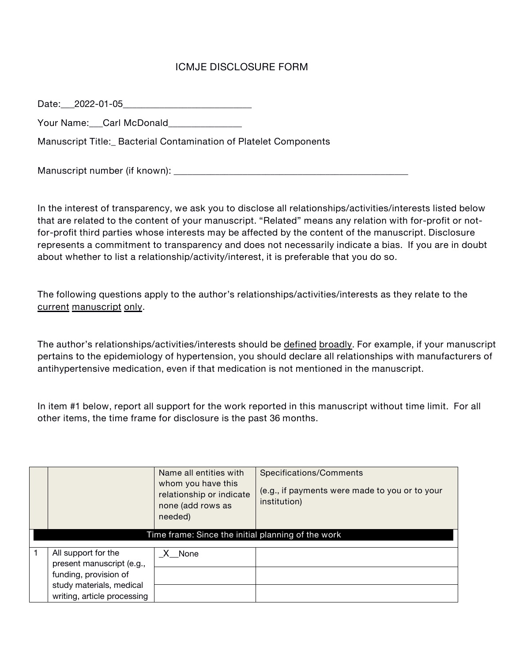## **ICMJE DISCLOSURE FORM**

**Date:\_\_\_2022-01-05\_\_\_\_\_\_\_\_\_\_\_\_\_\_\_\_\_\_\_\_\_\_\_\_\_\_\_\_**

**Your Name:\_\_\_Carl McDonald\_\_\_\_\_\_\_\_\_\_\_\_\_\_\_\_**

**Manuscript Title:\_ Bacterial Contamination of Platelet Components**

**Manuscript number (if known): \_\_\_\_\_\_\_\_\_\_\_\_\_\_\_\_\_\_\_\_\_\_\_\_\_\_\_\_\_\_\_\_\_\_\_\_\_\_\_\_\_\_\_\_\_\_\_\_\_\_\_**

**In the interest of transparency, we ask you to disclose all relationships/activities/interests listed below that are related to the content of your manuscript. "Related" means any relation with for-profit or notfor-profit third parties whose interests may be affected by the content of the manuscript. Disclosure represents a commitment to transparency and does not necessarily indicate a bias. Ifyou are in doubt about whether to list a relationship/activity/interest, it is preferable that you do so.**

**The following questions apply to the author's relationships/activities/interests as they relate to the current manuscript only.**

**The author's relationships/activities/interests should be defined broadly. For example, if your manuscript pertains to the epidemiology of hypertension, you should declare all relationships with manufacturers of antihypertensive medication, even if that medication isnot mentioned in the manuscript.**

In item #1 below, report all support for the work reported in this manuscript without time limit. For all **other items, the time frame for disclosure is the past 36 months.**

|                                                                                                                                      | Name all entities with<br>whom you have this<br>relationship or indicate<br>none (add rows as<br>needed) | Specifications/Comments<br>(e.g., if payments were made to you or to your<br>institution) |
|--------------------------------------------------------------------------------------------------------------------------------------|----------------------------------------------------------------------------------------------------------|-------------------------------------------------------------------------------------------|
| Time frame: Since the initial planning of the work                                                                                   |                                                                                                          |                                                                                           |
| All support for the<br>present manuscript (e.g.,<br>funding, provision of<br>study materials, medical<br>writing, article processing | $X$ None                                                                                                 |                                                                                           |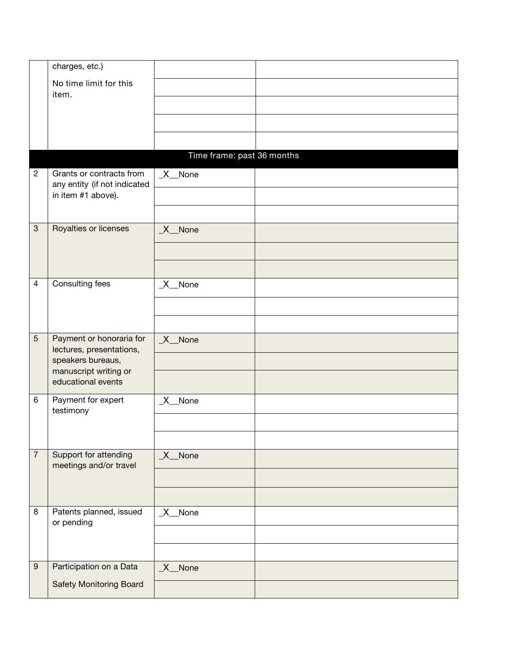|                  | charges, etc.)                                           |                            |  |
|------------------|----------------------------------------------------------|----------------------------|--|
|                  | No time limit for this<br>item.                          |                            |  |
|                  |                                                          |                            |  |
|                  |                                                          |                            |  |
|                  |                                                          |                            |  |
|                  |                                                          | Time frame: past 36 months |  |
| $\mathbf{2}$     | Grants or contracts from<br>any entity (if not indicated | $X$ <sub>_</sub> None      |  |
|                  | in item #1 above).                                       |                            |  |
|                  |                                                          |                            |  |
| $\mathbf{3}$     | Royalties or licenses                                    | $X$ None                   |  |
|                  |                                                          |                            |  |
|                  |                                                          |                            |  |
| $\overline{4}$   | Consulting fees                                          | $X$ <sub>_</sub> None      |  |
|                  |                                                          |                            |  |
|                  |                                                          |                            |  |
| 5                | Payment or honoraria for<br>lectures, presentations,     | $X$ None                   |  |
|                  | speakers bureaus,<br>manuscript writing or               |                            |  |
|                  | educational events                                       |                            |  |
| 6                | Payment for expert<br>testimony                          | $X$ None                   |  |
|                  |                                                          |                            |  |
|                  |                                                          |                            |  |
| $\sqrt{7}$       | Support for attending<br>meetings and/or travel          | $X$ <sub>_</sub> None      |  |
|                  |                                                          |                            |  |
|                  |                                                          |                            |  |
| 8                | Patents planned, issued<br>or pending                    | $X$ <sub>_</sub> None      |  |
|                  |                                                          |                            |  |
|                  |                                                          |                            |  |
| $\boldsymbol{9}$ | Participation on a Data                                  | $X$ <sub>_</sub> None      |  |
|                  | <b>Safety Monitoring Board</b>                           |                            |  |